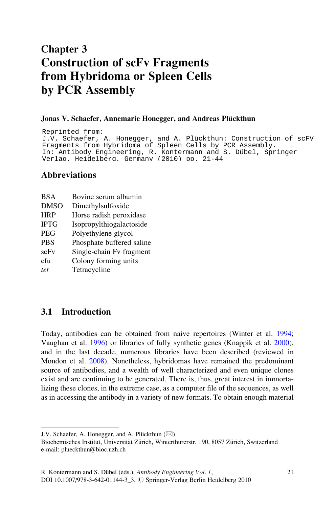# Chapter 3 Construction of scFv Fragments from Hybridoma or Spleen Cells by PCR Assembly

### Jonas V. Schaefer, Annemarie Honegger, and Andreas Plückthun

Reprinted from: J.V. Schaefer, A. Honegger, and A. Plückthun: Construction of scFV Fragments from Hybridoma of Spleen Cells by PCR Assembly. In: Antibody Engineering, R. Kontermann and S. Dübel, Springer Verlag, Heidelberg, Germany (2010) pp. 21-44

### Abbreviations

| <b>BSA</b>  | Bovine serum albumin      |
|-------------|---------------------------|
| <b>DMSO</b> | Dimethylsulfoxide         |
| <b>HRP</b>  | Horse radish peroxidase   |
| <b>IPTG</b> | Isopropylthiogalactoside  |
| <b>PEG</b>  | Polyethylene glycol       |
| <b>PBS</b>  | Phosphate buffered saline |
| scFv        | Single-chain Fv fragment  |
| cfu         | Colony forming units      |
| tet         | Tetracycline              |
|             |                           |

# 3.1 Introduction

Today, antibodies can be obtained from naive repertoires (Winter et al. [1994;](#page-23-0) Vaughan et al. [1996\)](#page-23-0) or libraries of fully synthetic genes (Knappik et al. [2000\)](#page-22-0), and in the last decade, numerous libraries have been described (reviewed in Mondon et al. [2008](#page-22-0)). Nonetheless, hybridomas have remained the predominant source of antibodies, and a wealth of well characterized and even unique clones exist and are continuing to be generated. There is, thus, great interest in immortalizing these clones, in the extreme case, as a computer file of the sequences, as well as in accessing the antibody in a variety of new formats. To obtain enough material

J.V. Schaefer, A. Honegger, and A. Plückthun  $(\boxtimes)$ 

Biochemisches Institut, Universität Zürich, Winterthurerstr. 190, 8057 Zürich, Switzerland e-mail: plueckthun@bioc.uzh.ch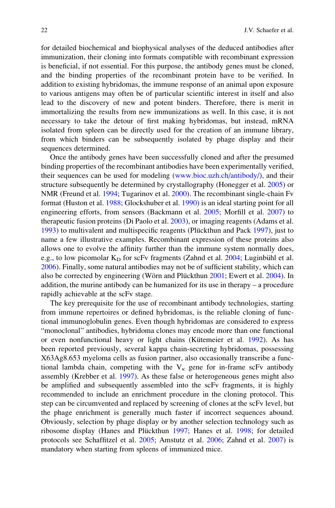for detailed biochemical and biophysical analyses of the deduced antibodies after immunization, their cloning into formats compatible with recombinant expression is beneficial, if not essential. For this purpose, the antibody genes must be cloned, and the binding properties of the recombinant protein have to be verified. In addition to existing hybridomas, the immune response of an animal upon exposure to various antigens may often be of particular scientific interest in itself and also lead to the discovery of new and potent binders. Therefore, there is merit in immortalizing the results from new immunizations as well. In this case, it is not necessary to take the detour of first making hybridomas, but instead, mRNA isolated from spleen can be directly used for the creation of an immune library, from which binders can be subsequently isolated by phage display and their sequences determined.

Once the antibody genes have been successfully cloned and after the presumed binding properties of the recombinant antibodies have been experimentally verified, their sequences can be used for modeling ([www.bioc.uzh.ch/antibody/](http://www.bioc.uzh.ch/antibody/)), and their structure subsequently be determined by crystallography (Honegger et al. [2005](#page-21-0)) or NMR (Freund et al. [1994](#page-21-0); Tugarinov et al. [2000](#page-23-0)). The recombinant single-chain Fv format (Huston et al. [1988;](#page-21-0) Glockshuber et al. [1990\)](#page-21-0) is an ideal starting point for all engineering efforts, from sensors (Backmann et al. [2005;](#page-21-0) Morfill et al. [2007\)](#page-22-0) to therapeutic fusion proteins (Di Paolo et al. [2003\)](#page-21-0), or imaging reagents (Adams et al. [1993\)](#page-21-0) to multivalent and multispecific reagents (Plückthun and Pack [1997](#page-22-0)), just to name a few illustrative examples. Recombinant expression of these proteins also allows one to evolve the affinity further than the immune system normally does, e.g., to low picomolar  $K_D$  for scFv fragments (Zahnd et al. [2004](#page-23-0); Luginbühl et al. [2006\)](#page-22-0). Finally, some natural antibodies may not be of sufficient stability, which can also be corrected by engineering (Wörn and Plückthun [2001](#page-23-0); Ewert et al. [2004\)](#page-21-0). In addition, the murine antibody can be humanized for its use in therapy – a procedure rapidly achievable at the scFv stage.

The key prerequisite for the use of recombinant antibody technologies, starting from immune repertoires or defined hybridomas, is the reliable cloning of functional immunoglobulin genes. Even though hybridomas are considered to express "monoclonal" antibodies, hybridoma clones may encode more than one functional or even nonfunctional heavy or light chains (Kütemeier et al. [1992](#page-22-0)). As has been reported previously, several kappa chain-secreting hybridomas, possessing X63Ag8.653 myeloma cells as fusion partner, also occasionally transcribe a functional lambda chain, competing with the  $V_k$  gene for in-frame scFv antibody assembly (Krebber et al. [1997](#page-22-0)). As these false or heterogeneous genes might also be amplified and subsequently assembled into the scFv fragments, it is highly recommended to include an enrichment procedure in the cloning protocol. This step can be circumvented and replaced by screening of clones at the scFv level, but the phage enrichment is generally much faster if incorrect sequences abound. Obviously, selection by phage display or by another selection technology such as ribosome display (Hanes and Plückthun [1997;](#page-21-0) Hanes et al. [1998;](#page-21-0) for detailed protocols see Schaffitzel et al. [2005;](#page-23-0) Amstutz et al. [2006](#page-21-0); Zahnd et al. [2007\)](#page-23-0) is mandatory when starting from spleens of immunized mice.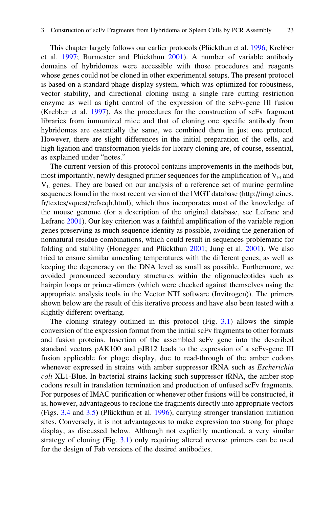This chapter largely follows our earlier protocols (Plückthun et al. [1996](#page-22-0); Krebber et al. [1997](#page-22-0); Burmester and Plückthun  $2001$ ). A number of variable antibody domains of hybridomas were accessible with those procedures and reagents whose genes could not be cloned in other experimental setups. The present protocol is based on a standard phage display system, which was optimized for robustness, vector stability, and directional cloning using a single rare cutting restriction enzyme as well as tight control of the expression of the scFv-gene III fusion (Krebber et al. [1997](#page-22-0)). As the procedures for the construction of scFv fragment libraries from immunized mice and that of cloning one specific antibody from hybridomas are essentially the same, we combined them in just one protocol. However, there are slight differences in the initial preparation of the cells, and high ligation and transformation yields for library cloning are, of course, essential, as explained under "notes."

The current version of this protocol contains improvements in the methods but, most importantly, newly designed primer sequences for the amplification of  $V_H$  and  $V<sub>L</sub>$  genes. They are based on our analysis of a reference set of murine germline sequences found in the most recent version of the IMGT database (http://imgt.cines. fr/textes/vquest/refseqh.html), which thus incorporates most of the knowledge of the mouse genome (for a description of the original database, see Lefranc and Lefranc [2001](#page-22-0)). Our key criterion was a faithful amplification of the variable region genes preserving as much sequence identity as possible, avoiding the generation of nonnatural residue combinations, which could result in sequences problematic for folding and stability (Honegger and Plückthun [2001](#page-22-0); Jung et al. 2001). We also tried to ensure similar annealing temperatures with the different genes, as well as keeping the degeneracy on the DNA level as small as possible. Furthermore, we avoided pronounced secondary structures within the oligonucleotides such as hairpin loops or primer-dimers (which were checked against themselves using the appropriate analysis tools in the Vector NTI software (Invitrogen)). The primers shown below are the result of this iterative process and have also been tested with a slightly different overhang.

The cloning strategy outlined in this protocol (Fig. [3.1](#page-3-0)) allows the simple conversion of the expression format from the initial scFv fragments to other formats and fusion proteins. Insertion of the assembled scFv gene into the described standard vectors pAK100 and pJB12 leads to the expression of a scFv-gene III fusion applicable for phage display, due to read-through of the amber codons whenever expressed in strains with amber suppressor tRNA such as *Escherichia* coli XL1-Blue. In bacterial strains lacking such suppressor tRNA, the amber stop codons result in translation termination and production of unfused scFv fragments. For purposes of IMAC purification or whenever other fusions will be constructed, it is, however, advantageous to reclone the fragments directly into appropriate vectors (Figs.  $3.4$  and  $3.5$ ) (Pluckthun et al. [1996](#page-22-0)), carrying stronger translation initiation sites. Conversely, it is not advantageous to make expression too strong for phage display, as discussed below. Although not explicitly mentioned, a very similar strategy of cloning (Fig. [3.1](#page-3-0)) only requiring altered reverse primers can be used for the design of Fab versions of the desired antibodies.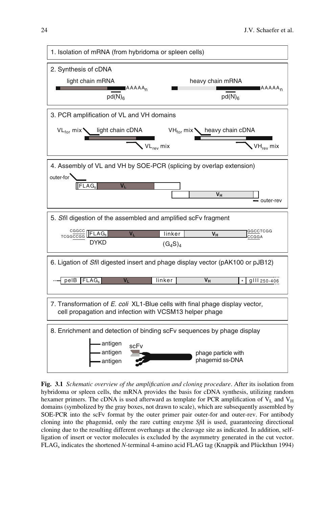<span id="page-3-0"></span>

Fig. 3.1 Schematic overview of the amplification and cloning procedure. After its isolation from hybridoma or spleen cells, the mRNA provides the basis for cDNA synthesis, utilizing random hexamer primers. The cDNA is used afterward as template for PCR amplification of  $V<sub>L</sub>$  and  $V<sub>H</sub>$ domains (symbolized by the gray boxes, not drawn to scale), which are subsequently assembled by SOE-PCR into the scFv format by the outer primer pair outer-for and outer-rev. For antibody cloning into the phagemid, only the rare cutting enzyme SfiI is used, guaranteeing directional cloning due to the resulting different overhangs at the cleavage site as indicated. In addition, selfligation of insert or vector molecules is excluded by the asymmetry generated in the cut vector. FLAG<sub>s</sub> indicates the shortened N-terminal 4-amino acid FLAG tag (Knappik and Plückthun 1994)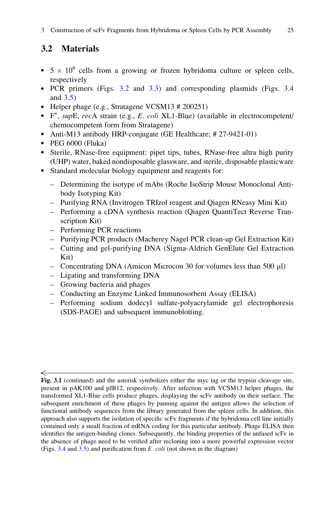# 3.2 Materials

- $5 \times 10^6$  cells from a growing or frozen hybridoma culture or spleen cells, respectively
- PCR primers (Figs.  $3.2$  and  $3.3$ ) and corresponding plasmids (Figs.  $3.4$ ) and [3.5\)](#page-14-0)
- Helper phage (e.g., Stratagene VCSM13  $# 200251$ )
- $\bullet$  F<sup>+</sup>, supE, recA strain (e.g., E. coli XL1-Blue) (available in electrocompetent/ chemocompetent form from Stratagene)
- Anti-M13 antibody HRP-conjugate (GE Healthcare;  $\# 27-9421-01$ )
- $\bullet$  PEG 6000 (Fluka)
- Sterile, RNase-free equipment: pipet tips, tubes, RNase-free ultra high purity (UHP) water, baked nondisposable glassware, and sterile, disposable plasticware
- Standard molecular biology equipment and reagents for:
	- Determining the isotype of mAbs (Roche IsoStrip Mouse Monoclonal Antibody Isotyping Kit)
	- Purifying RNA (Invitrogen TRIzol reagent and Qiagen RNeasy Mini Kit)
	- Performing a cDNA synthesis reaction (Qiagen QuantiTect Reverse Transcription Kit)
	- Performing PCR reactions
	- Purifying PCR products (Macherey Nagel PCR clean-up Gel Extraction Kit)
	- Cutting and gel-purifying DNA (Sigma-Aldrich GenElute Gel Extraction Kit)
	- Concentrating DNA (Amicon Microcon 30 for volumes less than 500  $\mu$ l)
	- Ligating and transforming DNA
	- Growing bacteria and phages
	- Conducting an Enzyme Linked Immunosorbent Assay (ELISA)
	- Performing sodium dodecyl sulfate-polyacrylamide gel electrophoresis (SDS-PAGE) and subsequent immunoblotting.

Fig. 3.1 (continued) and the asterisk symbolizes either the myc tag or the trypsin cleavage site, present in pAK100 and pJB12, respectively. After infection with VCSM13 helper phages, the transformed XL1-Blue cells produce phages, displaying the scFv antibody on their surface. The subsequent enrichment of these phages by panning against the antigen allows the selection of functional antibody sequences from the library generated from the spleen cells. In addition, this approach also supports the isolation of specific scFv fragments if the hybridoma cell line initially contained only a small fraction of mRNA coding for this particular antibody. Phage ELISA then identifies the antigen-binding clones. Subsequently, the binding properties of the unfused scFv in the absence of phage need to be verified after recloning into a more powerful expression vector (Figs.  $3.4$  and  $3.5$ ) and purification from E. *coli* (not shown in the diagram)  $\leq$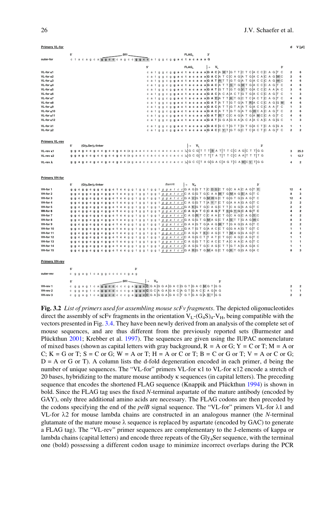<span id="page-5-0"></span>

| <b>Primers VL-for</b> |                                                                                                                                                                                                                                                                                                                        | d              | $V[\mu]$                |
|-----------------------|------------------------------------------------------------------------------------------------------------------------------------------------------------------------------------------------------------------------------------------------------------------------------------------------------------------------|----------------|-------------------------|
|                       | 5'<br>FLAG.<br>3'<br>Sfil                                                                                                                                                                                                                                                                                              |                |                         |
| outer-for             | ctacagcaggcccagccggccatggcggactacaaaG                                                                                                                                                                                                                                                                                  |                |                         |
|                       | 5'<br>$\mapsto$<br>3'<br>FLAG.<br>v,                                                                                                                                                                                                                                                                                   |                |                         |
| VL-for K1             | catggcggactacaaa GACA WTGTTCTCACCCAGTC                                                                                                                                                                                                                                                                                 | $\overline{2}$ | 6                       |
| VL-for <sub>K2</sub>  | c a t g g c g <b>g a c t a c a a a G A C</b> A T C C A G A T G A C A C A G W C                                                                                                                                                                                                                                         | $\overline{2}$ | 6                       |
| VL-for K3             | са t g g c g <b>g a c t a c a a a G A T F</b> T T G T G A T G A C C C A G W C                                                                                                                                                                                                                                          | $\overline{a}$ | 6                       |
| VL-for <b>K4</b>      | c a t g g c g <b>g a c t a c a a a G A C</b> A T T S T G M T G A C C C A G T C                                                                                                                                                                                                                                         | $\overline{a}$ | 6                       |
| VL-for K5             | c a t g g c g <b>g a c t a c a a a G A T</b> G T T G T G V T G A C C C A A A C                                                                                                                                                                                                                                         | 3              | 6                       |
| VL-for K6             | atggcggactacaaa GAC ACA ACT GTG ACC CAG TC                                                                                                                                                                                                                                                                             | 1              | 3                       |
| VL-for <sub>K</sub> 7 | са t g g c g <b>g a c t a c a a a G A Y</b> A T T K T G C T C A C T C A G T C                                                                                                                                                                                                                                          | $\mathbf{A}$   | 6                       |
| VL-for K8             | catggcggactacaaaGATATTGTGATRACCCAGGM                                                                                                                                                                                                                                                                                   | 4              | 6                       |
| VL-for <sub>K9</sub>  | са t g g c g <b>g a c t a c a a a G A C</b> A T T G T A A T G A C C C A A T C                                                                                                                                                                                                                                          | $\mathbf{1}$   | 3                       |
| VL-for K10            | catggcggactacaaaGACATTGTGATGWCACAGTC                                                                                                                                                                                                                                                                                   | $\overline{2}$ | 6                       |
| VL-for k11            | са t g g c g <b>g a c t a c a a a G A T F</b> T C C A G A T G A M C C A G T C                                                                                                                                                                                                                                          | $\overline{4}$ | 6                       |
| VL-for k12            | c a t g g c g <b>g a c t a c a a a G A T</b> G G A  G A A  A C A  A C A  C A G  G C                                                                                                                                                                                                                                    | $\mathbf{1}$   | 3                       |
| VL-for A1             | c a t g g c g <b>g a c t a c a a a G A C</b> G C T G T T G T G A C T C A G G A                                                                                                                                                                                                                                         | $\mathbf{1}$   | 1                       |
| VL-for A2             | c a t g g c g <b>g a c t a c a a a G A C</b> C Y T G T G C T C A C T C A G T C                                                                                                                                                                                                                                         | $\overline{2}$ | $\overline{2}$          |
|                       |                                                                                                                                                                                                                                                                                                                        |                |                         |
| <b>Primers VL-rev</b> |                                                                                                                                                                                                                                                                                                                        |                |                         |
|                       | $V_1$<br>3'<br>5'<br>(Gly <sub>4</sub> Ser) <sub>3</sub> -linker<br>$\mapsto$                                                                                                                                                                                                                                          |                |                         |
| VL-rev k1             | ggagccgccgccgcc(agaaccaccaccacc)2 GCG TTTBATTTC CAG CTTGG                                                                                                                                                                                                                                                              | 3              | 25.3                    |
| VL-rev k2             | <b>ggagccgccgccgcc</b> (agaaccaccaccacc)2 GCG TTT TAT TTC CAA TTT TG                                                                                                                                                                                                                                                   | 1              | 12.7                    |
| VL-rev A              | ggagccgccgccgcc@aaccaccaccaccbe c 7 A G G A C A G T C A M C Y T G G                                                                                                                                                                                                                                                    | 4              | $\overline{2}$          |
|                       |                                                                                                                                                                                                                                                                                                                        |                |                         |
|                       |                                                                                                                                                                                                                                                                                                                        |                |                         |
| <b>Primers VH-for</b> |                                                                                                                                                                                                                                                                                                                        |                |                         |
|                       | BamHl<br>$V_{H}$<br>5'<br>(Gly <sub>4</sub> Ser) <sub>2</sub> -linker<br>$\mapsto$<br>3'                                                                                                                                                                                                                               |                |                         |
| VH-for 1              | <b>ggcggcggcggctcc</b> ggtggtggt <i>ggatcc</i>  GAG GTT CDS CTG CAA CAG TY                                                                                                                                                                                                                                             | 12             | 4                       |
| VH-for 2              | ggcggcggctccggtggtggt <i>ggatcc</i>  CAG GTG CAA MTG MAG SAG TC                                                                                                                                                                                                                                                        | 8              | 3                       |
| VH-for 3              | ggcggcggctccggtggtggt <i>ggatcc</i>  GAV GTG MWG CTG GTG GAG TC                                                                                                                                                                                                                                                        | 12             | 4                       |
| VH-for 4              | ggcggcggcggctccggtggtggtggatcc CAG GTT AY T CTG AAA GAG TC                                                                                                                                                                                                                                                             | $\overline{2}$ | $\overline{\mathbf{2}}$ |
| VH-for 5              | cggcggcggctccggtggtggtggatcc GAK GTG CAG CTT CAG SAG TC                                                                                                                                                                                                                                                                | $\overline{2}$ | $\overline{\mathbf{2}}$ |
| VH-for 6              | c g g c g g c g g c t c c g g t g g t g g a g a t c c C A G A T C C A G T T S G Y G C A G T C                                                                                                                                                                                                                          | 4              | 2                       |
| VH-for 7              | ggcggcggctccggtggtggatcccGAGRTCCAACTGCAGCAGYC                                                                                                                                                                                                                                                                          | 4              | $\overline{\mathbf{2}}$ |
| VH-for 8              | ggcggcggctccggtggtggt <i>ggatcc</i>  GAG GTG MAG CTA STT GAG WC                                                                                                                                                                                                                                                        | 8              | 3                       |
| VH-for 9              | $\mathfrak g$ g c $\mathfrak g$ g c $\mathfrak g$ g c $\mathfrak g$ c t c c $\mathfrak g$ t g $\mathfrak g$ t g $\mathfrak g$ t g $\mathfrak g$ t c $ \mathfrak G\cap\mathfrak G $ a A $ \mathfrak G\cap\mathfrak G $ a A G $ \mathfrak m\top\top $ G A G $ \mathfrak G\cap\mathfrak G $ G A G $ \mathfrak m\top\top $ | $\overline{2}$ | $\overline{2}$          |
| VH-for 10             | $\mathfrak g$ g c $\mathfrak g$ g c $\mathfrak g$ g c $\mathfrak g$ c t c c $\mathfrak g$ t g $\mathfrak g$ t g $\mathfrak g$ t g $\mathfrak g$ a t c c $ \mathfrak G\cap\mathfrak G $ a A c $ \mathfrak G\cap\mathfrak G $ a A l $ \mathfrak G\cap\mathfrak G $                                                       | 1              | $\mathbf{1}$            |
| VH-for 11             | gg c g g c g g c g g c t c c g g t g g t g g a t c c C A G A T K C A G C T T M A G G A G T C                                                                                                                                                                                                                           | $\overline{a}$ | $\overline{\mathbf{2}}$ |
| VH-for 12             | ggcggcggcggctccggtggtggtggatcc CAG GCT TAT CTG CAG CAG TC                                                                                                                                                                                                                                                              | $\mathbf{1}$   | 1                       |
| VH-for 13             | cggcggcggctccggtggtggtggatcc CAG GTT CAC CTA CAA CAG TC                                                                                                                                                                                                                                                                | $\mathbf{1}$   | 1                       |
| VH-for 14             | ggcggcggcggctccggtggtggatcc CAG GTG CAG CTT GTA GAG AC                                                                                                                                                                                                                                                                 | 1              | 1                       |
| VH-for 15             | g g c g g c g g c g g c t c c g g t g g t g g a <i>t c c</i> G A R G T G M A G C T G K T G G A G A C                                                                                                                                                                                                                   | 8              | 3                       |
|                       |                                                                                                                                                                                                                                                                                                                        |                |                         |
| <b>Primers VH-rev</b> |                                                                                                                                                                                                                                                                                                                        |                |                         |
|                       | 5'<br>3'                                                                                                                                                                                                                                                                                                               |                |                         |
| outer-rey             | c g g a g t c a g g c c c c c g a g                                                                                                                                                                                                                                                                                    |                |                         |
|                       |                                                                                                                                                                                                                                                                                                                        |                |                         |
|                       | 5<br>Sfil -<br>$V_{H}$<br>3'<br>$\rightarrow$                                                                                                                                                                                                                                                                          |                |                         |
| VH-rev 1              | c g g a g t c a <b>g g c c</b> c c c g a <b>g g c C</b> G A G G A G A C G G T G A C M G T G G                                                                                                                                                                                                                          | $\overline{2}$ | $\overline{\mathbf{2}}$ |
| VH-rev 2              | c g g a g t c a <b>g g c c</b> c c c g a <b>g g c c</b> G C A G A G A C A G T G A C C A G A G                                                                                                                                                                                                                          | 1              | 1                       |
| VH-rev 3              | с g g a g t c a <mark>g g c c</mark> c c c g a <mark>g g c </mark> C G A G G A G A C T G T G A G A S T G G                                                                                                                                                                                                             | $\overline{2}$ | 2                       |

Fig. 3.2 List of primers used for assembling mouse  $scFv$  fragments. The depicted oligonucleotides direct the assembly of scFv fragments in the orientation  $V_L$ - $(G_4S)_4$ - $V_H$ , being compatible with the vectors presented in Fig. [3.4](#page-8-0). They have been newly derived from an analysis of the complete set of mouse sequences, and are thus different from the previously reported sets (Burmester and Plückthun [2001](#page-21-0); Krebber et al. [1997\)](#page-22-0). The sequences are given using the IUPAC nomenclature of mixed bases (shown as capital letters with gray background,  $R = A$  or G;  $Y = C$  or T;  $M = A$  or C;  $K = G$  or T;  $S = C$  or G;  $W = A$  or T;  $H = A$  or C or T;  $B = C$  or G or T;  $V = A$  or C or G;  $D = A$  or G or T). A column lists the d-fold degeneration encoded in each primer, d being the number of unique sequences. The "VL-for" primers VL-for k1 to VL-for k12 encode a stretch of 20 bases, hybridizing to the mature mouse antibody  $\kappa$  sequences (in capital letters). The preceding sequence that encodes the shortened FLAG sequence (Knappik and Plückthun [1994](#page-22-0)) is shown in bold. Since the FLAG tag uses the fixed N-terminal aspartate of the mature antibody (encoded by GAY), only three additional amino acids are necessary. The FLAG codons are then preceded by the codons specifying the end of the *pelB* signal sequence. The "VL-for" primers VL-for  $\lambda$ 1 and VL-for  $\lambda$ 2 for mouse lambda chains are constructed in an analogous manner (the N-terminal glutamate of the mature mouse  $\lambda$  sequence is replaced by aspartate (encoded by GAC) to generate a FLAG tag). The "VL-rev" primer sequences are complementary to the J-elements of kappa or lambda chains (capital letters) and encode three repeats of the Gly4Ser sequence, with the terminal one (bold) possessing a different codon usage to minimize incorrect overlaps during the PCR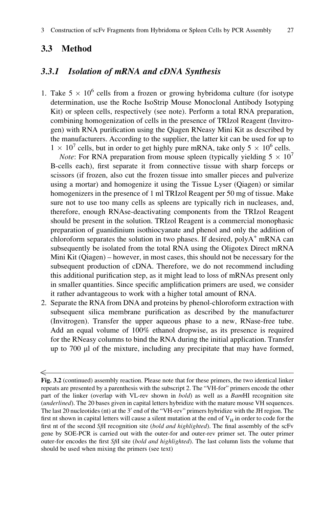# 3.3 Method

 $\leq$ 

### 3.3.1 Isolation of mRNA and cDNA Synthesis

1. Take  $5 \times 10^6$  cells from a frozen or growing hybridoma culture (for isotype determination, use the Roche IsoStrip Mouse Monoclonal Antibody Isotyping Kit) or spleen cells, respectively (see note). Perform a total RNA preparation, combining homogenization of cells in the presence of TRIzol Reagent (Invitrogen) with RNA purification using the Qiagen RNeasy Mini Kit as described by the manufacturers. According to the supplier, the latter kit can be used for up to  $1 \times 10^7$  cells, but in order to get highly pure mRNA, take only  $5 \times 10^6$  cells.

*Note:* For RNA preparation from mouse spleen (typically yielding  $5 \times 10^7$ ) B-cells each), first separate it from connective tissue with sharp forceps or scissors (if frozen, also cut the frozen tissue into smaller pieces and pulverize using a mortar) and homogenize it using the Tissue Lyser (Qiagen) or similar homogenizers in the presence of 1 ml TRIzol Reagent per 50 mg of tissue. Make sure not to use too many cells as spleens are typically rich in nucleases, and, therefore, enough RNAse-deactivating components from the TRIzol Reagent should be present in the solution. TRIzol Reagent is a commercial monophasic preparation of guanidinium isothiocyanate and phenol and only the addition of chloroform separates the solution in two phases. If desired,  $polyA<sup>+</sup>$  mRNA can subsequently be isolated from the total RNA using the Oligotex Direct mRNA Mini Kit (Qiagen) – however, in most cases, this should not be necessary for the subsequent production of cDNA. Therefore, we do not recommend including this additional purification step, as it might lead to loss of mRNAs present only in smaller quantities. Since specific amplification primers are used, we consider it rather advantageous to work with a higher total amount of RNA.

2. Separate the RNA from DNA and proteins by phenol-chloroform extraction with subsequent silica membrane purification as described by the manufacturer (Invitrogen). Transfer the upper aqueous phase to a new, RNase-free tube. Add an equal volume of 100% ethanol dropwise, as its presence is required for the RNeasy columns to bind the RNA during the initial application. Transfer up to 700 µl of the mixture, including any precipitate that may have formed,

Fig. 3.2 (continued) assembly reaction. Please note that for these primers, the two identical linker repeats are presented by a parenthesis with the subscript 2. The "VH-for" primers encode the other part of the linker (overlap with VL-rev shown in *bold*) as well as a *BamHI* recognition site (*underlined*). The 20 bases given in capital letters hybridize with the mature mouse VH sequences. The last 20 nucleotides (nt) at the  $3'$  end of the "VH-rev" primers hybridize with the JH region. The first nt shown in capital letters will cause a silent mutation at the end of  $V_H$  in order to code for the first nt of the second SfiI recognition site (bold and highlighted). The final assembly of the scFv gene by SOE-PCR is carried out with the outer-for and outer-rev primer set. The outer primer outer-for encodes the first SfiI site (bold and highlighted). The last column lists the volume that should be used when mixing the primers (see text)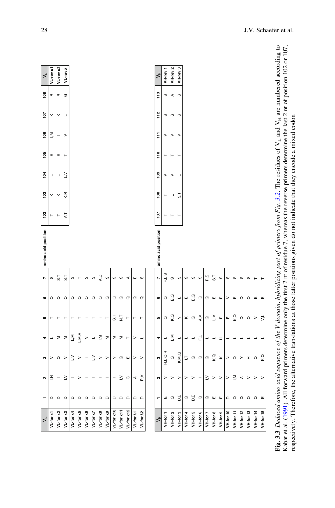<span id="page-7-0"></span>

| $\mathord{\succ}^{\!\!\!\!\!\!\!\!\!\!\!\ {}^{\scriptstyle\mathsf{L}}}$ | $\overline{ }$                                               | $\boldsymbol{\sim}$      | ო                                                                 | 4                          | မာ                                                    | $\pmb{\circ}$                                                                                                                                                                                                                                        | $\overline{ }$                   | amino acid position | 102                 | 103                             | 104            | 105               | 106    | 107                       | 108                                          | 5                |
|-------------------------------------------------------------------------|--------------------------------------------------------------|--------------------------|-------------------------------------------------------------------|----------------------------|-------------------------------------------------------|------------------------------------------------------------------------------------------------------------------------------------------------------------------------------------------------------------------------------------------------------|----------------------------------|---------------------|---------------------|---------------------------------|----------------|-------------------|--------|---------------------------|----------------------------------------------|------------------|
| VL-for k1                                                               |                                                              | $\leq$                   | $\geq$                                                            |                            | $\vdash$                                              |                                                                                                                                                                                                                                                      | $\omega$                         |                     |                     |                                 | ┙              |                   | Σ      |                           |                                              | VL-rev k1        |
| VL-for <sub>K2</sub>                                                    | $\begin{array}{ccc} \circ & \circ & \circ \end{array}$       | $\overline{\phantom{a}}$ | $\circ$                                                           | $\lrcorner \quad \succeq$  | $\overline{a}$                                        | $O$ $O$ $O$                                                                                                                                                                                                                                          | 5,T                              |                     | $+$ + $\frac{1}{4}$ | $\times$ $\times$ $\frac{1}{K}$ | $\rightarrow$  | $W - W +$         | $-$ >  | $\times$ $\times$ $\lnot$ | $\mathfrak{a}$ $\mathfrak{a}$ $\mathfrak{a}$ | VL-rev k2        |
| VL-for k3                                                               |                                                              | $\geq$                   | $\,>$                                                             | $\geq$                     | $\vdash$                                              |                                                                                                                                                                                                                                                      | 5,T                              |                     |                     |                                 | $\geq$         |                   |        |                           |                                              | VL-rev $\lambda$ |
| VL-for k4                                                               |                                                              |                          | $\geq$ $>$                                                        |                            | ⊢.                                                    |                                                                                                                                                                                                                                                      |                                  |                     |                     |                                 |                |                   |        |                           |                                              |                  |
| VL-for <sub>K5</sub>                                                    | $\begin{array}{ccc} \circ & \circ & \circ \end{array}$       | $\qquad \qquad$          |                                                                   | L,M,V<br>L,M,V             | $\longmapsto$                                         |                                                                                                                                                                                                                                                      | $\circ$ $\vdash$                 |                     |                     |                                 |                |                   |        |                           |                                              |                  |
| VL-for K6                                                               |                                                              | $\vdash$                 | $\vdash$                                                          | $\left\vert \right\rangle$ | $\vdash$                                              | $\sigma$ $\sigma$ $\sigma$                                                                                                                                                                                                                           | $\omega$                         |                     |                     |                                 |                |                   |        |                           |                                              |                  |
| VL-for k7                                                               |                                                              |                          | $\geq$ $>$                                                        |                            |                                                       |                                                                                                                                                                                                                                                      | $\omega$                         |                     |                     |                                 |                |                   |        |                           |                                              |                  |
| VL-for k8                                                               | $\begin{array}{ccc} \square & \square & \square \end{array}$ |                          |                                                                   | $\Box \subseteq \subseteq$ | $\vdash\ \vdash\ \vdash\ \vdash$                      | $\circ$ $\circ$ $\circ$                                                                                                                                                                                                                              | A, D                             |                     |                     |                                 |                |                   |        |                           |                                              |                  |
| VL-for k9                                                               | $\Box$                                                       | $\overline{\phantom{m}}$ | $\qquad \qquad$                                                   |                            |                                                       |                                                                                                                                                                                                                                                      | S                                |                     |                     |                                 |                |                   |        |                           |                                              |                  |
| VL-for k10                                                              |                                                              | $\qquad \qquad -$        | $\,$                                                              |                            | 5,T                                                   |                                                                                                                                                                                                                                                      |                                  |                     |                     |                                 |                |                   |        |                           |                                              |                  |
| VL-for k11                                                              | $\begin{array}{ccc} \circ & \circ & \circ \end{array}$       | $\geq$                   |                                                                   | $\geq$ $\geq$ $\geq$       | $\frac{1}{2}$                                         |                                                                                                                                                                                                                                                      | <sub>တ တ</sub>                   |                     |                     |                                 |                |                   |        |                           |                                              |                  |
| VL-for k12                                                              |                                                              | $\circlearrowleft$       | $\circ$ $\omega$                                                  |                            | $\vdash$                                              | $\circ$ $\circ$ $\circ$                                                                                                                                                                                                                              | $\prec$                          |                     |                     |                                 |                |                   |        |                           |                                              |                  |
| VL-for X1                                                               | $\circ$ $\circ$                                              | $\prec$                  | $\,>$                                                             | $\, >$                     | $\vdash\ \vdash$                                      | $\circ$ $\circ$                                                                                                                                                                                                                                      | $\mathbf{u}$ o                   |                     |                     |                                 |                |                   |        |                           |                                              |                  |
| VL-for A2                                                               |                                                              | $\geq$                   | $\rightarrow$                                                     | $\overline{\phantom{a}}$   |                                                       |                                                                                                                                                                                                                                                      |                                  |                     |                     |                                 |                |                   |        |                           |                                              |                  |
|                                                                         |                                                              |                          |                                                                   |                            |                                                       |                                                                                                                                                                                                                                                      |                                  |                     |                     |                                 |                |                   |        |                           |                                              |                  |
| $\zeta$                                                                 | $\overline{\phantom{0}}$                                     | $\mathbf{\tilde{z}}$     | ო                                                                 | 4                          | LO.                                                   | $\circ$                                                                                                                                                                                                                                              | $\overline{\phantom{a}}$         | amino acid position | 107                 | 108                             | $\frac{60}{2}$ | $\frac{1}{10}$    | F      | 112                       | 113                                          |                  |
| VH-for 1                                                                |                                                              | $\geq$                   | H, L, Q, R                                                        | $\overline{\phantom{a}}$   | $\circ$                                               | $\circ$                                                                                                                                                                                                                                              |                                  |                     | ⊢                   |                                 | $\geq$         |                   | $\geq$ |                           |                                              | $\frac{y}{y}$    |
| VH-for 2                                                                | ⊞ ㅇ 핑                                                        | $\geq$                   | $\circ$                                                           | $\bar{\mathbf{z}}$         | $\frac{Q}{X}$ >                                       |                                                                                                                                                                                                                                                      | <u>ດັ</u><br>ຕັດ ໙ ∣ ໙ ໙ ໙<br>ຕັ |                     | $+ +$               | $-\frac{1}{5}$                  | $\geq$         | $\vdash$ $\vdash$ | $>$ >  | ဖ ဖ ဖ                     | $\omega \sim \omega$                         | VH-rev 2         |
| VH-for 3                                                                |                                                              | $\geq$                   | K,M,Q                                                             | $\rightarrow$              |                                                       |                                                                                                                                                                                                                                                      |                                  |                     |                     |                                 | <b>س</b>       |                   |        |                           |                                              | VH-rev 3         |
| VH-for 4                                                                | $\circ \begin{array}{c} \circ \\ \circ \\ \circ \end{array}$ | $\,>$                    |                                                                   |                            |                                                       | $\begin{bmatrix} 0 \\ \vdots \\ 0 \end{bmatrix}$ $\begin{bmatrix} 0 \\ \vdots \\ 0 \end{bmatrix}$ $\begin{bmatrix} 0 \\ \vdots \\ 0 \end{bmatrix}$ $\begin{bmatrix} 0 \\ \vdots \\ 0 \end{bmatrix}$ $\begin{bmatrix} 0 \\ \vdots \\ 0 \end{bmatrix}$ |                                  |                     |                     |                                 |                |                   |        |                           |                                              |                  |
| VH-for 5                                                                |                                                              | $\geq$                   |                                                                   | ب ب                        | $\times$ o $\stackrel{>}{\prec}$                      |                                                                                                                                                                                                                                                      |                                  |                     |                     |                                 |                |                   |        |                           |                                              |                  |
| VH-for 6                                                                |                                                              | $\overline{\phantom{a}}$ |                                                                   | 군                          |                                                       |                                                                                                                                                                                                                                                      |                                  |                     |                     |                                 |                |                   |        |                           |                                              |                  |
| VH-for 7                                                                |                                                              |                          |                                                                   | $\overline{\phantom{a}}$   |                                                       |                                                                                                                                                                                                                                                      |                                  |                     |                     |                                 |                |                   |        |                           |                                              |                  |
| VH-for 8                                                                | $\circ$ $\omega$ $\omega$                                    | $\geq$ > >               | $\frac{1}{2}$ a a a $\frac{1}{2}$ a $\frac{1}{2}$ a $\frac{1}{2}$ | $\overline{\phantom{a}}$   | $\circ$ $\frac{5}{4}$ $\omega$ $\omega$ $\frac{3}{4}$ |                                                                                                                                                                                                                                                      | n.č<br>S,⊤                       |                     |                     |                                 |                |                   |        |                           |                                              |                  |
| VH-for 9                                                                |                                                              |                          |                                                                   | - 그                        |                                                       |                                                                                                                                                                                                                                                      | $\omega$                         |                     |                     |                                 |                |                   |        |                           |                                              |                  |
| <b>VH-for 10</b>                                                        |                                                              | $\geq$                   |                                                                   | $\overline{\phantom{0}}$   |                                                       |                                                                                                                                                                                                                                                      | <b>ω</b> ω                       |                     |                     |                                 |                |                   |        |                           |                                              |                  |
| VH-for 11                                                               | $\circ$ $\circ$ $\circ$                                      |                          | $z \circ$                                                         | $\overline{\phantom{a}}$   |                                                       |                                                                                                                                                                                                                                                      |                                  |                     |                     |                                 |                |                   |        |                           |                                              |                  |
| VH-for 12                                                               |                                                              | $\leq$ $\prec$           |                                                                   | $\overline{\phantom{a}}$   | $\circ$                                               |                                                                                                                                                                                                                                                      | ဖ                                |                     |                     |                                 |                |                   |        |                           |                                              |                  |
| VH-for 13                                                               |                                                              | $\rm{~}$                 |                                                                   |                            | $\sigma$ >                                            | $\sigma$ $\mu$                                                                                                                                                                                                                                       | $\circ$ +                        |                     |                     |                                 |                |                   |        |                           |                                              |                  |
| VH-for 14                                                               | $O$ $O$ $H$                                                  | $\,>$                    | I O                                                               |                            |                                                       |                                                                                                                                                                                                                                                      |                                  |                     |                     |                                 |                |                   |        |                           |                                              |                  |
| VH-for 15                                                               |                                                              | $\geq$                   | K,Q                                                               |                            | $\leq$                                                | Щ                                                                                                                                                                                                                                                    | $\overline{a}$                   |                     |                     |                                 |                |                   |        |                           |                                              |                  |

Fig. 3.3 Deduced amino acid sequence of the V domain, hybridizing part of primers from Fig. 3.2. The residues of  $V_L$  and  $V_H$  are numbered according to Kabat et al. (1991). All forward primers determine only the first 2 Fig. 3.3 Deduced amino acid sequence of the V domain, hybridizing part of primers from Fig. [3.2](#page-5-0). The residues of  $V_L$  and  $V_H$  are numbered according to Kabat et al. ([1991](#page-22-0)). All forward primers determine only the first 2 nt of residue 7, whereas the reverse primers determine the last 2 nt of position 102 or 107, respectively. Therefore, the alternative translations at those latter positions given do not indicate that they encode a mixed codon respectively. Therefore, the alternative translations at those latter positions given do not indicate that they encode a mixed codon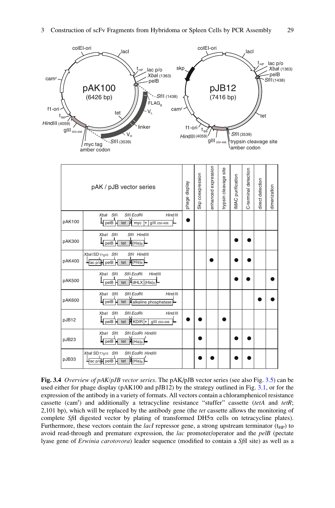<span id="page-8-0"></span>

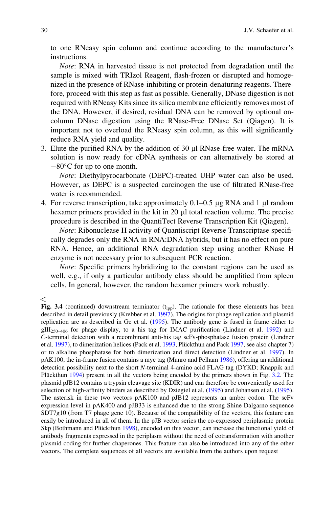to one RNeasy spin column and continue according to the manufacturer's instructions.

Note: RNA in harvested tissue is not protected from degradation until the sample is mixed with TRIzol Reagent, flash-frozen or disrupted and homogenized in the presence of RNase-inhibiting or protein-denaturing reagents. Therefore, proceed with this step as fast as possible. Generally, DNase digestion is not required with RNeasy Kits since its silica membrane efficiently removes most of the DNA. However, if desired, residual DNA can be removed by optional oncolumn DNase digestion using the RNase-Free DNase Set (Qiagen). It is important not to overload the RNeasy spin column, as this will significantly reduce RNA yield and quality.

3. Elute the purified RNA by the addition of 30 µl RNase-free water. The mRNA solution is now ready for cDNA synthesis or can alternatively be stored at  $-80^{\circ}$ C for up to one month.

Note: Diethylpyrocarbonate (DEPC)-treated UHP water can also be used. However, as DEPC is a suspected carcinogen the use of filtrated RNase-free water is recommended.

4. For reverse transcription, take approximately  $0.1-0.5$   $\mu$ g RNA and 1  $\mu$ l random hexamer primers provided in the kit in  $20 \mu$ l total reaction volume. The precise procedure is described in the QuantiTect Reverse Transcription Kit (Qiagen).

Note: Ribonuclease H activity of Quantiscript Reverse Transcriptase specifically degrades only the RNA in RNA:DNA hybrids, but it has no effect on pure RNA. Hence, an additional RNA degradation step using another RNase H enzyme is not necessary prior to subsequent PCR reaction.

Note: Specific primers hybridizing to the constant regions can be used as well, e.g., if only a particular antibody class should be amplified from spleen cells. In general, however, the random hexamer primers work robustly.

Fig. 3.4 (continued) downstream terminator  $(t_{\text{lpp}})$ . The rationale for these elements has been described in detail previously (Krebber et al. [1997\)](#page-22-0). The origins for phage replication and plasmid replication are as described in Ge et al. ([1995](#page-21-0)). The antibody gene is fused in frame either to  $gIII<sub>250–406</sub>$  for phage display, to a his tag for IMAC purification (Lindner et al. [1992](#page-22-0)) and C-terminal detection with a recombinant anti-his tag scFv-phosphatase fusion protein (Lindner et al. [1997\)](#page-22-0), to dimerization helices (Pack et al. [1993](#page-22-0), Pluckthun and Pack [1997,](#page-22-0) see also chapter 7) or to alkaline phosphatase for both dimerization and direct detection (Lindner et al. [1997](#page-22-0)). In pAK100, the in-frame fusion contains a myc tag (Munro and Pelham [1986](#page-22-0)), offering an additional detection possibility next to the short N-terminal 4-amino acid FLAG tag (DYKD; Knappik and Plückthun [1994\)](#page-22-0) present in all the vectors being encoded by the primers shown in Fig. [3.2](#page-5-0). The plasmid pJB12 contains a trypsin cleavage site (KDIR) and can therefore be conveniently used for selection of high-affinity binders as described by Dziegiel et al. [\(1995](#page-21-0)) and Johansen et al. ([1995\)](#page-22-0). The asterisk in these two vectors pAK100 and pJB12 represents an amber codon. The scFv expression level in pAK400 and pJB33 is enhanced due to the strong Shine Dalgarno sequence SDT7g10 (from T7 phage gene 10). Because of the compatibility of the vectors, this feature can easily be introduced in all of them. In the pJB vector series the co-expressed periplasmic protein Skp (Bothmann and Plückthun [1998\)](#page-21-0), encoded on this vector, can increase the functional yield of antibody fragments expressed in the periplasm without the need of cotransformation with another plasmid coding for further chaperones. This feature can also be introduced into any of the other vectors. The complete sequences of all vectors are available from the authors upon request  $\leq$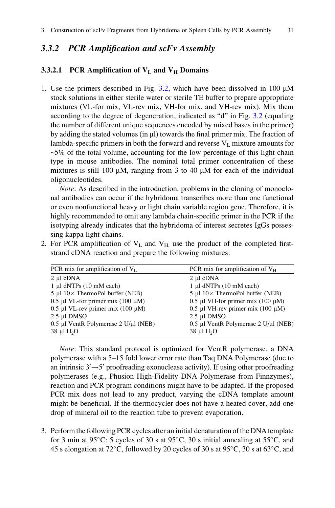### 3.3.2 PCR Amplification and scFv Assembly

### 3.3.2.1 PCR Amplification of  $V_L$  and  $V_H$  Domains

1. Use the primers described in Fig.  $3.2$ , which have been dissolved in 100  $\mu$ M stock solutions in either sterile water or sterile TE buffer to prepare appropriate mixtures (VL-for mix, VL-rev mix, VH-for mix, and VH-rev mix). Mix them according to the degree of degeneration, indicated as "d" in Fig. [3.2](#page-5-0) (equaling the number of different unique sequences encoded by mixed bases in the primer) by adding the stated volumes (in  $\mu$ ) towards the final primer mix. The fraction of lambda-specific primers in both the forward and reverse  $V_L$  mixture amounts for  $~5\%$  of the total volume, accounting for the low percentage of this light chain type in mouse antibodies. The nominal total primer concentration of these mixtures is still 100  $\mu$ M, ranging from 3 to 40  $\mu$ M for each of the individual oligonucleotides.

Note: As described in the introduction, problems in the cloning of monoclonal antibodies can occur if the hybridoma transcribes more than one functional or even nonfunctional heavy or light chain variable region gene. Therefore, it is highly recommended to omit any lambda chain-specific primer in the PCR if the isotyping already indicates that the hybridoma of interest secretes IgGs possessing kappa light chains.

2. For PCR amplification of  $V_L$  and  $V_H$  use the product of the completed firststrand cDNA reaction and prepare the following mixtures:

| PCR mix for amplification of $V_H$       |
|------------------------------------------|
| $2 \mu l$ cDNA                           |
| $1 \mu l$ dNTPs (10 mM each)             |
| $5 \mu 10 \times$ ThermoPol buffer (NEB) |
| 0.5 µl VH-for primer mix (100 µM)        |
| 0.5 µl VH-rev primer mix (100 µM)        |
| $2.5$ µl DMSO                            |
| $0.5$ µl VentR Polymerase $2$ U/µl (NEB) |
| $38 \mu$ I H <sub>2</sub> O              |
|                                          |

Note: This standard protocol is optimized for VentR polymerase, a DNA polymerase with a 5–15 fold lower error rate than Taq DNA Polymerase (due to an intrinsic  $3' \rightarrow 5'$  proofreading exonuclease activity). If using other proofreading polymerases (e.g., Phusion High-Fidelity DNA Polymerase from Finnzymes), reaction and PCR program conditions might have to be adapted. If the proposed PCR mix does not lead to any product, varying the cDNA template amount might be beneficial. If the thermocycler does not have a heated cover, add one drop of mineral oil to the reaction tube to prevent evaporation.

3. Perform the following PCR cycles after an initial denaturation of the DNA template for 3 min at  $95^{\circ}$ C: 5 cycles of 30 s at  $95^{\circ}$ C, 30 s initial annealing at  $55^{\circ}$ C, and 45 s elongation at 72 $^{\circ}$ C, followed by 20 cycles of 30 s at 95 $^{\circ}$ C, 30 s at 63 $^{\circ}$ C, and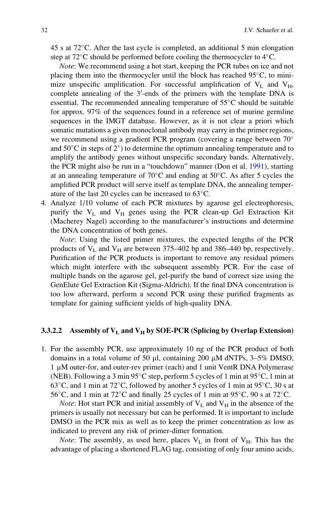45 s at  $72^{\circ}$ C. After the last cycle is completed, an additional 5 min elongation step at  $72^{\circ}$ C should be performed before cooling the thermocycler to  $4^{\circ}$ C.

Note: We recommend using a hot start, keeping the PCR tubes on ice and not placing them into the thermocycler until the block has reached  $95^{\circ}$ C, to minimize unspecific amplification. For successful amplification of  $V_L$  and  $V_H$ , complete annealing of the  $3'$ -ends of the primers with the template DNA is essential. The recommended annealing temperature of  $55^{\circ}$ C should be suitable for approx. 97% of the sequences found in a reference set of murine germline sequences in the IMGT database. However, as it is not clear a priori which somatic mutations a given monoclonal antibody may carry in the primer regions, we recommend using a gradient PCR program (covering a range between 70° and  $50^{\circ}$ C in steps of  $2^{\circ}$ ) to determine the optimum annealing temperature and to amplify the antibody genes without unspecific secondary bands. Alternatively, the PCR might also be run in a "touchdown" manner (Don et al. [1991](#page-21-0)), starting at an annealing temperature of  $70^{\circ}$ C and ending at  $50^{\circ}$ C. As after 5 cycles the amplified PCR product will serve itself as template DNA, the annealing temperature of the last 20 cycles can be increased to  $63^{\circ}$ C.

4. Analyze 1/10 volume of each PCR mixtures by agarose gel electrophoresis, purify the  $V_L$  and  $V_H$  genes using the PCR clean-up Gel Extraction Kit (Macherey Nagel) according to the manufacturer's instructions and determine the DNA concentration of both genes.

Note: Using the listed primer mixtures, the expected lengths of the PCR products of  $V_L$  and  $V_H$  are between 375–402 bp and 386–440 bp, respectively. Purification of the PCR products is important to remove any residual primers which might interfere with the subsequent assembly PCR. For the case of multiple bands on the agarose gel, gel-purify the band of correct size using the GenElute Gel Extraction Kit (Sigma-Aldrich). If the final DNA concentration is too low afterward, perform a second PCR using these purified fragments as template for gaining sufficient yields of high-quality DNA.

### 3.3.2.2 Assembly of  $V_L$  and  $V_H$  by SOE-PCR (Splicing by Overlap Extension)

1. For the assembly PCR, use approximately 10 ng of the PCR product of both domains in a total volume of 50  $\mu$ l, containing 200  $\mu$ M dNTPs, 3–5% DMSO, 1 µM outer-for, and outer-rev primer (each) and 1 unit VentR DNA Polymerase (NEB). Following a 3 min 95 $\degree$ C step, perform 5 cycles of 1 min at 95 $\degree$ C, 1 min at 63 $\degree$ C, and 1 min at 72 $\degree$ C, followed by another 5 cycles of 1 min at 95 $\degree$ C, 30 s at 56 $\degree$ C, and 1 min at 72 $\degree$ C and finally 25 cycles of 1 min at 95 $\degree$ C, 90 s at 72 $\degree$ C.

*Note*: Hot start PCR and initial assembly of  $V<sub>L</sub>$  and  $V<sub>H</sub>$  in the absence of the primers is usually not necessary but can be performed. It is important to include DMSO in the PCR mix as well as to keep the primer concentration as low as indicated to prevent any risk of primer-dimer formation.

*Note*: The assembly, as used here, places  $V_L$  in front of  $V_H$ . This has the advantage of placing a shortened FLAG tag, consisting of only four amino acids,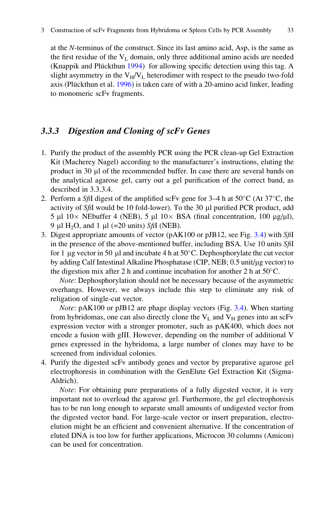at the N-terminus of the construct. Since its last amino acid, Asp, is the same as the first residue of the  $V<sub>L</sub>$  domain, only three additional amino acids are needed (Knappik and Plückthun  $1994$ ) for allowing specific detection using this tag. A slight asymmetry in the  $V_H/V_I$  heterodimer with respect to the pseudo two-fold axis (Plückthun et al. [1996\)](#page-22-0) is taken care of with a 20-amino acid linker, leading to monomeric scFv fragments.

### 3.3.3 Digestion and Cloning of scFv Genes

- 1. Purify the product of the assembly PCR using the PCR clean-up Gel Extraction Kit (Macherey Nagel) according to the manufacturer's instructions, eluting the product in 30 µl of the recommended buffer. In case there are several bands on the analytical agarose gel, carry out a gel purification of the correct band, as described in 3.3.3.4.
- 2. Perform a SfiI digest of the amplified scFv gene for  $3-4$  h at  $50^{\circ}$ C (At  $37^{\circ}$ C, the activity of SfiI would be 10 fold-lower). To the 30 ul purified PCR product, add 5 µl  $10 \times$  NEbuffer 4 (NEB), 5 µl  $10 \times$  BSA (final concentration, 100 µg/µl), 9 µl H<sub>2</sub>O, and 1 µl (=20 units) SfiI (NEB).
- 3. Digest appropriate amounts of vector (pAK100 or pJB12, see Fig. [3.4\)](#page-8-0) with SfiI in the presence of the above-mentioned buffer, including BSA. Use 10 units SfiI for 1 µg vector in 50 µl and incubate 4 h at  $50^{\circ}$ C. Dephosphorylate the cut vector by adding Calf Intestinal Alkaline Phosphatase (CIP, NEB; 0.5 unit/µg vector) to the digestion mix after 2 h and continue incubation for another 2 h at  $50^{\circ}$ C.

Note: Dephosphorylation should not be necessary because of the asymmetric overhangs. However, we always include this step to eliminate any risk of religation of single-cut vector.

*Note*: pAK100 or pJB12 are phage display vectors (Fig. [3.4\)](#page-8-0). When starting from hybridomas, one can also directly clone the  $V_L$  and  $V_H$  genes into an scFv expression vector with a stronger promoter, such as pAK400, which does not encode a fusion with gIII. However, depending on the number of additional V genes expressed in the hybridoma, a large number of clones may have to be screened from individual colonies.

4. Purify the digested scFv antibody genes and vector by preparative agarose gel electrophoresis in combination with the GenElute Gel Extraction Kit (Sigma-Aldrich).

Note: For obtaining pure preparations of a fully digested vector, it is very important not to overload the agarose gel. Furthermore, the gel electrophoresis has to be run long enough to separate small amounts of undigested vector from the digested vector band. For large-scale vector or insert preparation, electroelution might be an efficient and convenient alternative. If the concentration of eluted DNA is too low for further applications, Microcon 30 columns (Amicon) can be used for concentration.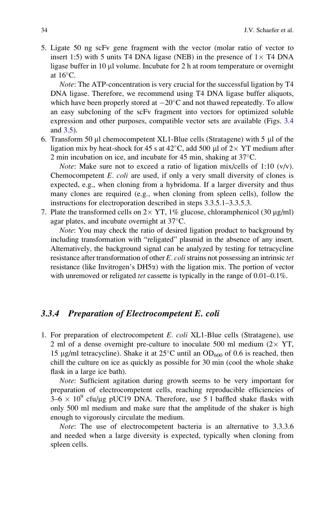5. Ligate 50 ng scFv gene fragment with the vector (molar ratio of vector to insert 1:5) with 5 units T4 DNA ligase (NEB) in the presence of  $1 \times$  T4 DNA ligase buffer in 10  $\mu$ l volume. Incubate for 2 h at room temperature or overnight at  $16^{\circ}$ C.

Note: The ATP-concentration is very crucial for the successful ligation by T4 DNA ligase. Therefore, we recommend using T4 DNA ligase buffer aliquots, which have been properly stored at  $-20^{\circ}$ C and not thawed repeatedly. To allow an easy subcloning of the scFv fragment into vectors for optimized soluble expression and other purposes, compatible vector sets are available (Figs. [3.4](#page-8-0) and [3.5](#page-14-0)).

6. Transform 50  $\mu$ l chemocompetent XL1-Blue cells (Stratagene) with 5  $\mu$ l of the ligation mix by heat-shock for 45 s at 42 $\degree$ C, add 500 µl of 2 $\times$  YT medium after 2 min incubation on ice, and incubate for 45 min, shaking at  $37^{\circ}$ C.

*Note*: Make sure not to exceed a ratio of ligation mix/cells of 1:10  $(v/v)$ . Chemocompetent  $E.$  coli are used, if only a very small diversity of clones is expected, e.g., when cloning from a hybridoma. If a larger diversity and thus many clones are required (e.g., when cloning from spleen cells), follow the instructions for electroporation described in steps 3.3.5.1–3.3.5.3.

7. Plate the transformed cells on  $2 \times$  YT, 1% glucose, chloramphenicol (30 µg/ml) agar plates, and incubate overnight at  $37^{\circ}$ C.

Note: You may check the ratio of desired ligation product to background by including transformation with "religated" plasmid in the absence of any insert. Alternatively, the background signal can be analyzed by testing for tetracycline resistance after transformation of other E. coli strains not possessing an intrinsic tet resistance (like Invitrogen's  $DH5\alpha$ ) with the ligation mix. The portion of vector with unremoved or religated *tet* cassette is typically in the range of 0.01–0.1%.

# 3.3.4 Preparation of Electrocompetent E. coli

1. For preparation of electrocompetent E. coli XL1-Blue cells (Stratagene), use 2 ml of a dense overnight pre-culture to inoculate 500 ml medium  $(2 \times \text{YT})$ , 15 µg/ml tetracycline). Shake it at  $25^{\circ}$ C until an OD<sub>600</sub> of 0.6 is reached, then chill the culture on ice as quickly as possible for 30 min (cool the whole shake flask in a large ice bath).

Note: Sufficient agitation during growth seems to be very important for preparation of electrocompetent cells, reaching reproducible efficiencies of  $3-6 \times 10^{9}$  cfu/µg pUC19 DNA. Therefore, use 5 l baffled shake flasks with only 500 ml medium and make sure that the amplitude of the shaker is high enough to vigorously circulate the medium.

Note: The use of electrocompetent bacteria is an alternative to 3.3.3.6 and needed when a large diversity is expected, typically when cloning from spleen cells.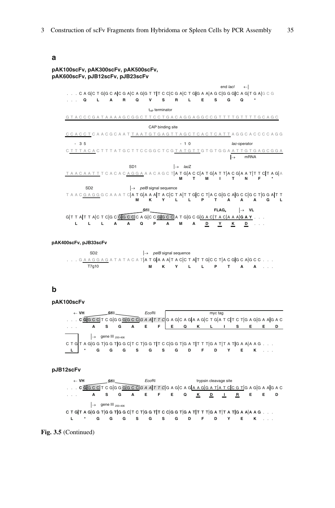#### <span id="page-14-0"></span>**a**

#### **pAK100scFv, pAK300scFv, pAK500scFv, pAK600scFv, pJB12scFv, pJB23scFv**

end *lacI*  $\leftarrow$ . . . CAGCTGGCACGACACAGTT T CCCGACTGGAAAAGCGGGCAGT GAGCG ... **Q L A R Q V S R L E S G Q \***  $t_{HP}$  terminator GTACCCGA TAAAAGCGGCT TCCTGACAGGAGGCCGT T T TGT T T TGCAGC CAP binding site CCACCTCAACGCAA T TAA TGTGAGT TAGCTCACTCA T TAGGCACCCCAGG - <sup>3</sup> <sup>5</sup> - <sup>1</sup> <sup>0</sup> *lac*-operator CT T TACACT T TA TGCT TCCGGCTCGTA TGT TGTGTGGAA T TGTGAGCGGA  $\rightarrow$  mRNA SD1<br><u>TAACAA T T</u> T C A C A <u>C A G G A</u> A A C A G C T<mark>|A T G|A C C|A T G|A T T|A C G|A A T|T T C|T A G|</mark>A<br>**M T M I T N F \*** SD2 → *pelB* signal sequence<br>TAAC<u>GAGG</u>GCAAA TC **A TG A A A TG C TATACCTA T TG C C TACCG C C TG G A T T T A A A G L<br><b>M K Y L L P T A A A G** L *Sfi* **I FLAGs** ® **VL** G| T T A| T T A| C T C| G C G| G C C| C A G| C C G| G C C| A T G| G C G| G A C| T A C| A A A| G A Y . . . **L L L A A Q P A M A D Y K D** ...

#### **pAK400scFv, pJB33scFv**

SD2<br>. . . G<u>A A G G A G</u> A T A T A C A T <mark>A T G|A A A|T A C|C T a|T T G|C C T|A C G|G C A|G C C . . .</mark> T7g10 **M K YLLPTAA** ...

#### **b**

#### **pAK100scFv**

<sup>¬</sup> **VH** *Sfi* **<sup>I</sup>** *Eco*RI myc tag ... **C G** GCCTCGGGGGCC *GAATTC* GAGCAGAAGCTGA TCTCTGAGGAAGAC ... **A S G A E F E Q K L I S E E D**  $\Rightarrow$  gene III  $_{250-406}$ C T G  $\tau$  A G G G T G G T G G C T C T G G T  $\tau$  C C G G T G A T  $\tau$  T T G A T  $\tau$  A T G A A A A G  $\ldots$ **L \* G G G S G S G D F D Y E K** ...

#### **pJB12scFv**

← **VH Sfi I ECORI** trypsin cleavage site ... **C <u>G|G C C|</u> T** C G|G G <mark>G|G C C|</mark>*G A A|T T C|*G A G|C A G|<u>A A G|G A T|A T C|C G T|</u>G A G|G A A|G A C ... **A S G A E F E Q K D I R E E D**  $\rightarrow$  gene III  $_{250-406}$ CTG|TAG|GGT|GGT|GGC|TCT|GGT|TCC|GGT|GAT|TTT|GAT|TAT|GAA|AAG... **L \* G G G S G S G D F D Y E K** ...

### Fig. 3.5 (Continued)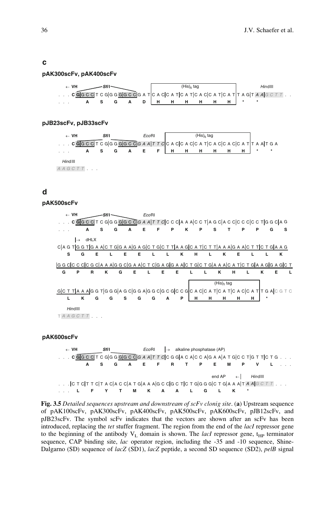### **c**

### **pAK300scFv, pAK400scFv**

|                                                                                             |  |  |  |  | (His) <sub>6</sub> taq |  |  |  | Hindll |  |
|---------------------------------------------------------------------------------------------|--|--|--|--|------------------------|--|--|--|--------|--|
| . C G G C C T C G G G G G C C G A T C A C C A T C A T C A C C A T C A T T A G T A A G C T T |  |  |  |  |                        |  |  |  |        |  |
|                                                                                             |  |  |  |  |                        |  |  |  |        |  |

#### **pJB23scFv, pJB33scFv**

| $\leftarrow$ VH                              | <b>Sfil</b> |                       | EcoRI |  |  | $(His)_{6}$ tag |  |  |  |
|----------------------------------------------|-------------|-----------------------|-------|--|--|-----------------|--|--|--|
| CGGCCTCGGGGGCCGAATTCCACCACCATCACCACCATTAATGA |             |                       |       |  |  |                 |  |  |  |
|                                              |             | A S G A E F H H H H H |       |  |  |                 |  |  |  |
| <b>Hind III</b>                              |             |                       |       |  |  |                 |  |  |  |
| $A A G C T T$                                |             |                       |       |  |  |                 |  |  |  |

### **d**

#### **pAK500scFv**

|   | $\leftarrow$ VH |   |                                                                                                  | – Sfi I – |   |   |   | EcoRI |              |     |              |              |              |                |    |                 |   |    |   |   |         |   |                                                                                                     |
|---|-----------------|---|--------------------------------------------------------------------------------------------------|-----------|---|---|---|-------|--------------|-----|--------------|--------------|--------------|----------------|----|-----------------|---|----|---|---|---------|---|-----------------------------------------------------------------------------------------------------|
|   |                 |   | . c G G c c Γ c G G G G G C C G A A Γ T C C C C A A A C C T A G C A C C C C C C C T G G C A G    |           |   |   |   |       |              |     |              |              |              |                |    |                 |   |    |   |   |         |   |                                                                                                     |
|   |                 |   | А                                                                                                | s         | G |   | A | Ε.    |              | F P |              | $\mathbf{K}$ |              | P.             |    | S T             |   | P  |   | P |         | G | s                                                                                                   |
|   |                 |   | $\rightarrow$ dHLX                                                                               |           |   |   |   |       |              |     |              |              |              |                |    |                 |   |    |   |   |         |   |                                                                                                     |
|   |                 |   | CA G T G G T G A A C T G G A A G A G C T G C T T A A G C A T C T T A A A G A A C T T C T G A A G |           |   |   |   |       |              |     |              |              |              |                |    |                 |   |    |   |   |         |   |                                                                                                     |
|   | s               | G | Е                                                                                                |           | L | Е |   | Е     | <b>L</b>     | L   |              | к            | н            |                | L. | к               |   | Е  |   | L |         |   | к                                                                                                   |
|   |                 |   |                                                                                                  |           |   |   |   |       |              |     |              |              |              |                |    |                 |   |    |   |   |         |   |                                                                                                     |
|   |                 |   |                                                                                                  |           |   |   |   |       |              |     |              |              |              |                |    |                 |   |    |   |   |         |   | GGCCCCCCGCAAAGGCGAACTCGAGGAACTGCTGCTGAACTGAAACATCTGAAGGAGCT                                         |
|   |                 |   |                                                                                                  |           |   |   |   |       |              |     |              |              |              |                |    |                 |   |    |   |   |         |   |                                                                                                     |
| G |                 | P | R                                                                                                | κ         |   | G | Е | т.    |              | Е   | Е            |              | $\mathbf{L}$ | $\blacksquare$ |    | к               | н |    | L |   | к       | Е | -L.                                                                                                 |
|   |                 |   |                                                                                                  |           |   |   |   |       |              |     |              |              |              |                |    | $(His)_{5}$ tag |   |    |   |   |         |   |                                                                                                     |
|   |                 |   |                                                                                                  |           |   |   |   |       |              |     |              |              |              |                |    |                 |   |    |   |   |         |   |                                                                                                     |
|   |                 | к | G                                                                                                |           | G | s |   | G     | $\mathbf{G}$ |     | $\mathsf{A}$ | P.           |              |                |    | <b>IHHH</b>     |   | н. |   | н | $\star$ |   | GIC T TIA A AIG G TIG G GIA G CIG G AIG G CIG C GIC C GIC A CIC A TIC A TIC A CIC A TIT G AIC G T C |
|   |                 |   |                                                                                                  |           |   |   |   |       |              |     |              |              |              |                |    |                 |   |    |   |   |         |   |                                                                                                     |
|   | <b>Hind III</b> |   | $T A A G C T T$                                                                                  |           |   |   |   |       |              |     |              |              |              |                |    |                 |   |    |   |   |         |   |                                                                                                     |

### **pAK600scFv**

 $\leftarrow$  **VH Sfil E**coRI  $\rightarrow$  alkaline phosphatase (AP) . . . **C** G G C C T C G G G G G C C G A A | T T C C G G A C A C C A G A A A T G C C T G T T C T G . . . **A S G A E F R T P E M P V L** ... end AP ← *HindIII* . . . . | CTC| TTC| TAC| ACC| ATG| AAA| GCC| GCT| CTG| GGG| CTG| AAA| TAA| GCTT. . .<br>. . . **LFY TMKAALGLK'** ... **L F Y T M K A A L G L K \***

Fig. 3.5 Detailed sequences upstream and downstream of scFv clonig site. (a) Upstream sequence of pAK100scFv, pAK300scFv, pAK400scFv, pAK500scFv, pAK600scFv, pJB12scFv, and pJB23scFv. The symbol scFv indicates that the vectors are shown after an scFv has been introduced, replacing the *tet* stuffer fragment. The region from the end of the *lacI* repressor gene to the beginning of the antibody  $V_L$  domain is shown. The *lacI* repressor gene,  $t_{HP}$  terminator sequence, CAP binding site, lac operator region, including the -35 and -10 sequence, Shine-Dalgarno (SD) sequence of lacZ (SD1), lacZ peptide, a second SD sequence (SD2), pelB signal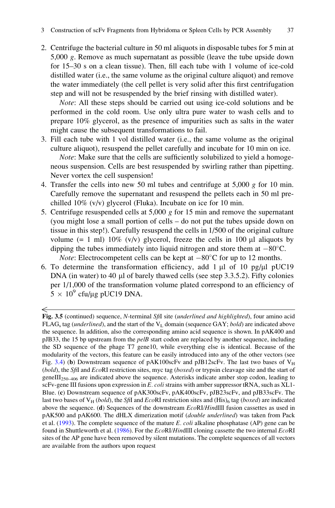2. Centrifuge the bacterial culture in 50 ml aliquots in disposable tubes for 5 min at 5,000 g. Remove as much supernatant as possible (leave the tube upside down for 15–30 s on a clean tissue). Then, fill each tube with 1 volume of ice-cold distilled water (i.e., the same volume as the original culture aliquot) and remove the water immediately (the cell pellet is very solid after this first centrifugation step and will not be resuspended by the brief rinsing with distilled water).

Note: All these steps should be carried out using ice-cold solutions and be performed in the cold room. Use only ultra pure water to wash cells and to prepare 10% glycerol, as the presence of impurities such as salts in the water might cause the subsequent transformations to fail.

- 3. Fill each tube with 1 vol distilled water (i.e., the same volume as the original culture aliquot), resuspend the pellet carefully and incubate for 10 min on ice. Note: Make sure that the cells are sufficiently solubilized to yield a homogeneous suspension. Cells are best resuspended by swirling rather than pipetting. Never vortex the cell suspension!
- 4. Transfer the cells into new 50 ml tubes and centrifuge at 5,000 g for 10 min. Carefully remove the supernatant and resuspend the pellets each in 50 ml prechilled 10% (v/v) glycerol (Fluka). Incubate on ice for 10 min.
- 5. Centrifuge resuspended cells at  $5,000\ g$  for 15 min and remove the supernatant (you might lose a small portion of cells – do not put the tubes upside down on tissue in this step!). Carefully resuspend the cells in 1/500 of the original culture volume  $(= 1 \text{ ml})$  10%  $(v/v)$  glycerol, freeze the cells in 100 µl aliquots by dipping the tubes immediately into liquid nitrogen and store them at  $-80^{\circ}$ C. *Note*: Electrocompetent cells can be kept at  $-80^{\circ}$ C for up to 12 months.
- 6. To determine the transformation efficiency, add 1  $\mu$ l of 10 pg/ $\mu$ l pUC19 DNA (in water) to 40  $\mu$ l of barely thawed cells (see step 3.3.5.2). Fifty colonies per 1/1,000 of the transformation volume plated correspond to an efficiency of  $5 \times 10^9$  cfu/µg pUC19 DNA.

<sup>←&</sup>lt;br>Fig. 3.5 (continued) sequence, N-terminal SfiI site (*underlined and highlighted*), four amino acid  $FLAG<sub>s</sub>$  tag (*underlined*), and the start of the  $V<sub>L</sub>$  domain (sequence GAY; *bold*) are indicated above the sequence. In addition, also the corresponding amino acid sequence is shown. In pAK400 and pJB33, the 15 bp upstream from the *pelB* start codon are replaced by another sequence, including the SD sequence of the phage T7 gene10, while everything else is identical. Because of the modularity of the vectors, this feature can be easily introduced into any of the other vectors (see Fig. [3.4](#page-8-0)) (b) Downstream sequence of pAK100scFv and pJB12scFv. The last two bases of  $V_H$ (bold), the SfiI and EcoRI restriction sites, myc tag (boxed) or trypsin cleavage site and the start of geneIII<sub>250–406</sub> are indicated above the sequence. Asterisks indicate amber stop codon, leading to scFv-gene III fusions upon expression in  $E$ . *coli* strains with amber suppressor tRNA, such as XL1-Blue. (c) Downstream sequence of pAK300scFv, pAK400scFv, pJB23scFv, and pJB33scFv. The last two bases of  $V_H (bold)$ , the SfiI and EcoRI restriction sites and (His)<sub>6</sub> tag (boxed) are indicated above the sequence. (d) Sequences of the downstream  $EcoRI/HindIII$  fusion cassettes as used in pAK500 and pAK600. The dHLX dimerization motif (double underlined) was taken from Pack et al. [\(1993](#page-22-0)). The complete sequence of the mature E. coli alkaline phosphatase (AP) gene can be found in Shuttleworth et al. ([1986\)](#page-23-0). For the EcoRI/HindIII cloning cassette the two internal EcoRI sites of the AP gene have been removed by silent mutations. The complete sequences of all vectors are available from the authors upon request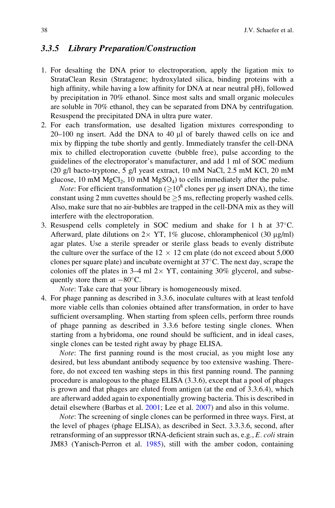### 3.3.5 Library Preparation/Construction

- 1. For desalting the DNA prior to electroporation, apply the ligation mix to StrataClean Resin (Stratagene; hydroxylated silica, binding proteins with a high affinity, while having a low affinity for DNA at near neutral pH), followed by precipitation in 70% ethanol. Since most salts and small organic molecules are soluble in 70% ethanol, they can be separated from DNA by centrifugation. Resuspend the precipitated DNA in ultra pure water.
- 2. For each transformation, use desalted ligation mixtures corresponding to  $20-100$  ng insert. Add the DNA to  $40 \mu l$  of barely thawed cells on ice and mix by flipping the tube shortly and gently. Immediately transfer the cell-DNA mix to chilled electroporation cuvette (bubble free), pulse according to the guidelines of the electroporator's manufacturer, and add 1 ml of SOC medium (20 g/l bacto-tryptone, 5 g/l yeast extract, 10 mM NaCl, 2.5 mM KCl, 20 mM glucose, 10 mM MgCl<sub>2</sub>, 10 mM MgSO<sub>4</sub>) to cells immediately after the pulse.

*Note*: For efficient transformation ( $>10^8$  clones per µg insert DNA), the time constant using 2 mm cuvettes should be  $>5$  ms, reflecting properly washed cells. Also, make sure that no air-bubbles are trapped in the cell-DNA mix as they will interfere with the electroporation.

3. Resuspend cells completely in SOC medium and shake for 1 h at  $37^{\circ}$ C. Afterward, plate dilutions on  $2 \times$  YT, 1% glucose, chloramphenicol (30 µg/ml) agar plates. Use a sterile spreader or sterile glass beads to evenly distribute the culture over the surface of the  $12 \times 12$  cm plate (do not exceed about 5,000 clones per square plate) and incubate overnight at  $37^{\circ}$ C. The next day, scrape the colonies off the plates in 3–4 ml  $2 \times$  YT, containing 30% glycerol, and subsequently store them at  $-80^{\circ}$ C.

Note: Take care that your library is homogeneously mixed.

4. For phage panning as described in 3.3.6, inoculate cultures with at least tenfold more viable cells than colonies obtained after transformation, in order to have sufficient oversampling. When starting from spleen cells, perform three rounds of phage panning as described in 3.3.6 before testing single clones. When starting from a hybridoma, one round should be sufficient, and in ideal cases, single clones can be tested right away by phage ELISA.

Note: The first panning round is the most crucial, as you might lose any desired, but less abundant antibody sequence by too extensive washing. Therefore, do not exceed ten washing steps in this first panning round. The panning procedure is analogous to the phage ELISA (3.3.6), except that a pool of phages is grown and that phages are eluted from antigen (at the end of 3.3.6.4), which are afterward added again to exponentially growing bacteria. This is described in detail elsewhere (Barbas et al. [2001;](#page-21-0) Lee et al. [2007\)](#page-22-0) and also in this volume.

Note: The screening of single clones can be performed in three ways. First, at the level of phages (phage ELISA), as described in Sect. 3.3.3.6, second, after retransforming of an suppressor tRNA-deficient strain such as, e.g., E. coli strain JM83 (Yanisch-Perron et al. [1985](#page-23-0)), still with the amber codon, containing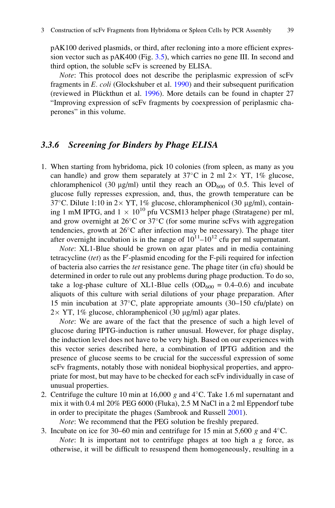pAK100 derived plasmids, or third, after recloning into a more efficient expression vector such as pAK400 (Fig. [3.5\)](#page-14-0), which carries no gene III. In second and third option, the soluble scFv is screened by ELISA.

Note: This protocol does not describe the periplasmic expression of scFv fragments in E. coli (Glockshuber et al. [1990](#page-21-0)) and their subsequent purification (reviewed in Plückthun et al. [1996](#page-22-0)). More details can be found in chapter 27 "Improving expression of scFv fragments by coexpression of periplasmic chaperones" in this volume.

# 3.3.6 Screening for Binders by Phage ELISA

1. When starting from hybridoma, pick 10 colonies (from spleen, as many as you can handle) and grow them separately at  $37^{\circ}$ C in 2 ml 2 $\times$  YT, 1% glucose, chloramphenicol (30  $\mu$ g/ml) until they reach an OD<sub>600</sub> of 0.5. This level of glucose fully represses expression, and, thus, the growth temperature can be 37°C. Dilute 1:10 in  $2 \times$  YT, 1% glucose, chloramphenicol (30 µg/ml), containing 1 mM IPTG, and  $1 \times 10^{10}$  pfu VCSM13 helper phage (Stratagene) per ml, and grow overnight at  $26^{\circ}$ C or  $37^{\circ}$ C (for some murine scFvs with aggregation tendencies, growth at  $26^{\circ}$ C after infection may be necessary). The phage titer after overnight incubation is in the range of  $10^{11}$ – $10^{12}$  cfu per ml supernatant.

Note: XL1-Blue should be grown on agar plates and in media containing tetracycline (*tet*) as the  $F'$ -plasmid encoding for the F-pili required for infection of bacteria also carries the tet resistance gene. The phage titer (in cfu) should be determined in order to rule out any problems during phage production. To do so, take a log-phase culture of XL1-Blue cells  $OD_{600} = 0.4{\text -}0.6$  and incubate aliquots of this culture with serial dilutions of your phage preparation. After 15 min incubation at  $37^{\circ}$ C, plate appropriate amounts (30–150 cfu/plate) on  $2 \times$  YT, 1% glucose, chloramphenicol (30 µg/ml) agar plates.

Note: We are aware of the fact that the presence of such a high level of glucose during IPTG-induction is rather unusual. However, for phage display, the induction level does not have to be very high. Based on our experiences with this vector series described here, a combination of IPTG addition and the presence of glucose seems to be crucial for the successful expression of some scFv fragments, notably those with nonideal biophysical properties, and appropriate for most, but may have to be checked for each scFv individually in case of unusual properties.

2. Centrifuge the culture 10 min at 16,000 g and  $4^{\circ}$ C. Take 1.6 ml supernatant and mix it with 0.4 ml 20% PEG 6000 (Fluka), 2.5 M NaCl in a 2 ml Eppendorf tube in order to precipitate the phages (Sambrook and Russell [2001\)](#page-22-0).

Note: We recommend that the PEG solution be freshly prepared.

3. Incubate on ice for 30–60 min and centrifuge for 15 min at 5,600 g and  $4^{\circ}$ C. Note: It is important not to centrifuge phages at too high a g force, as otherwise, it will be difficult to resuspend them homogeneously, resulting in a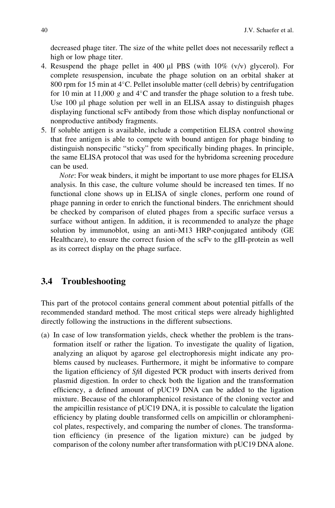decreased phage titer. The size of the white pellet does not necessarily reflect a high or low phage titer.

- 4. Resuspend the phage pellet in 400  $\mu$ l PBS (with 10% (v/v) glycerol). For complete resuspension, incubate the phage solution on an orbital shaker at 800 rpm for 15 min at  $4^{\circ}$ C. Pellet insoluble matter (cell debris) by centrifugation for 10 min at 11,000 g and  $4^{\circ}$ C and transfer the phage solution to a fresh tube. Use 100 µl phage solution per well in an ELISA assay to distinguish phages displaying functional scFv antibody from those which display nonfunctional or nonproductive antibody fragments.
- 5. If soluble antigen is available, include a competition ELISA control showing that free antigen is able to compete with bound antigen for phage binding to distinguish nonspecific "sticky" from specifically binding phages. In principle, the same ELISA protocol that was used for the hybridoma screening procedure can be used.

Note: For weak binders, it might be important to use more phages for ELISA analysis. In this case, the culture volume should be increased ten times. If no functional clone shows up in ELISA of single clones, perform one round of phage panning in order to enrich the functional binders. The enrichment should be checked by comparison of eluted phages from a specific surface versus a surface without antigen. In addition, it is recommended to analyze the phage solution by immunoblot, using an anti-M13 HRP-conjugated antibody (GE Healthcare), to ensure the correct fusion of the scFv to the gIII-protein as well as its correct display on the phage surface.

### 3.4 Troubleshooting

This part of the protocol contains general comment about potential pitfalls of the recommended standard method. The most critical steps were already highlighted directly following the instructions in the different subsections.

(a) In case of low transformation yields, check whether the problem is the transformation itself or rather the ligation. To investigate the quality of ligation, analyzing an aliquot by agarose gel electrophoresis might indicate any problems caused by nucleases. Furthermore, it might be informative to compare the ligation efficiency of SfiI digested PCR product with inserts derived from plasmid digestion. In order to check both the ligation and the transformation efficiency, a defined amount of pUC19 DNA can be added to the ligation mixture. Because of the chloramphenicol resistance of the cloning vector and the ampicillin resistance of pUC19 DNA, it is possible to calculate the ligation efficiency by plating double transformed cells on ampicillin or chloramphenicol plates, respectively, and comparing the number of clones. The transformation efficiency (in presence of the ligation mixture) can be judged by comparison of the colony number after transformation with pUC19 DNA alone.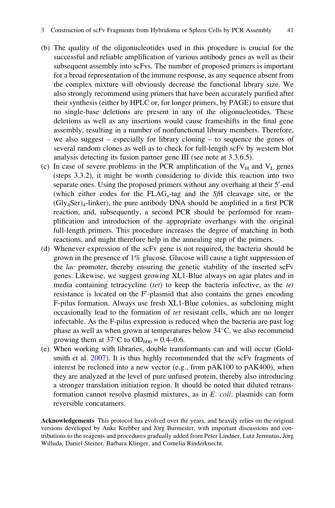- (b) The quality of the oligonucleotides used in this procedure is crucial for the successful and reliable amplification of various antibody genes as well as their subsequent assembly into scFvs. The number of proposed primers is important for a broad representation of the immune response, as any sequence absent from the complex mixture will obviously decrease the functional library size. We also strongly recommend using primers that have been accurately purified after their synthesis (either by HPLC or, for longer primers, by PAGE) to ensure that no single-base deletions are present in any of the oligonucleotides. These deletions as well as any insertions would cause frameshifts in the final gene assembly, resulting in a number of nonfunctional library members. Therefore, we also suggest – especially for library cloning – to sequence the genes of several random clones as well as to check for full-length scFv by western blot analysis detecting its fusion partner gene III (see note at 3.3.6.5).
- (c) In case of severe problems in the PCR amplification of the  $V_H$  and  $V_I$  genes (steps 3.3.2), it might be worth considering to divide this reaction into two separate ones. Using the proposed primers without any overhang at their 5'-end (which either codes for the  $FLAG_s$ -tag and the  $SfI$  cleavage site, or the  $(Gly<sub>4</sub>Ser)<sub>4</sub>$ -linker), the pure antibody DNA should be amplified in a first PCR reaction, and, subsequently, a second PCR should be performed for reamplification and introduction of the appropriate overhangs with the original full-length primers. This procedure increases the degree of matching in both reactions, and might therefore help in the annealing step of the primers.
- (d) Whenever expression of the scFv gene is not required, the bacteria should be grown in the presence of 1% glucose. Glucose will cause a tight suppression of the *lac* promoter, thereby ensuring the genetic stability of the inserted scFv genes. Likewise, we suggest growing XL1-Blue always on agar plates and in media containing tetracycline (tet) to keep the bacteria infective, as the tet resistance is located on the F'-plasmid that also contains the genes encoding F-pilus formation. Always use fresh XL1-Blue colonies, as subcloning might occasionally lead to the formation of tet resistant cells, which are no longer infectable. As the F-pilus expression is reduced when the bacteria are past log phase as well as when grown at temperatures below  $34^{\circ}$ C, we also recommend growing them at 37 $^{\circ}$ C to OD<sub>600</sub> = 0.4–0.6.
- (e) When working with libraries, double transformants can and will occur (Goldsmith et al. [2007](#page-21-0)). It is thus highly recommended that the scFv fragments of interest be recloned into a new vector (e.g., from pAK100 to pAK400), when they are analyzed at the level of pure unfused protein, thereby also introducing a stronger translation initiation region. It should be noted that diluted retransformation cannot resolve plasmid mixtures, as in E. coli, plasmids can form reversible concatamers.

Acknowledgements This protocol has evolved over the years, and heavily relies on the original versions developed by Anke Krebber and Jörg Burmester, with important discussions and contributions to the reagents and procedures gradually added from Peter Lindner, Lutz Jermutus, Jörg Willuda, Daniel Steiner, Barbara Klinger, and Cornelia Rinderknecht.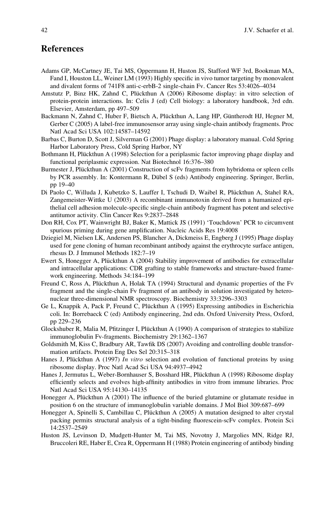# <span id="page-21-0"></span>References

- Adams GP, McCartney JE, Tai MS, Oppermann H, Huston JS, Stafford WF 3rd, Bookman MA, Fand I, Houston LL, Weiner LM (1993) Highly specific in vivo tumor targeting by monovalent and divalent forms of 741F8 anti-c-erbB-2 single-chain Fv. Cancer Res 53:4026–4034
- Amstutz P, Binz HK, Zahnd C, Plückthun A (2006) Ribosome display: in vitro selection of protein-protein interactions. In: Celis J (ed) Cell biology: a laboratory handbook, 3rd edn. Elsevier, Amsterdam, pp 497–509
- Backmann N, Zahnd C, Huber F, Bietsch A, Plückthun A, Lang HP, Güntherodt HJ, Hegner M, Gerber C (2005) A label-free immunosensor array using single-chain antibody fragments. Proc Natl Acad Sci USA 102:14587–14592
- Barbas C, Burton D, Scott J, Silverman G (2001) Phage display: a laboratory manual. Cold Spring Harbor Laboratory Press, Cold Spring Harbor, NY
- Bothmann H, Plückthun A (1998) Selection for a periplasmic factor improving phage display and functional periplasmic expression. Nat Biotechnol 16:376–380
- Burmester J, Plückthun A (2001) Construction of scFv fragments from hybridoma or spleen cells by PCR assembly. In: Kontermann R, Dübel S (eds) Antibody engineering. Springer, Berlin, pp 19–40
- Di Paolo C, Willuda J, Kubetzko S, Lauffer I, Tschudi D, Waibel R, Plückthun A, Stahel RA, Zangemeister-Wittke U (2003) A recombinant immunotoxin derived from a humanized epithelial cell adhesion molecule-specific single-chain antibody fragment has potent and selective antitumor activity. Clin Cancer Res 9:2837–2848
- Don RH, Cox PT, Wainwright BJ, Baker K, Mattick JS (1991) 'Touchdown' PCR to circumvent spurious priming during gene amplification. Nucleic Acids Res 19:4008
- Dziegiel M, Nielsen LK, Andersen PS, Blancher A, Dickmeiss E, Engberg J (1995) Phage display used for gene cloning of human recombinant antibody against the erythrocyte surface antigen, rhesus D. J Immunol Methods 182:7–19
- Ewert S, Honegger A, Plückthun A (2004) Stability improvement of antibodies for extracellular and intracellular applications: CDR grafting to stable frameworks and structure-based framework engineering. Methods 34:184–199
- Freund C, Ross A, Plückthun A, Holak TA (1994) Structural and dynamic properties of the Fv fragment and the single-chain Fv fragment of an antibody in solution investigated by heteronuclear three-dimensional NMR spectroscopy. Biochemistry 33:3296–3303
- Ge L, Knappik A, Pack P, Freund C, Plückthun A (1995) Expressing antibodies in Escherichia coli. In: Borrebaeck C (ed) Antibody engineering, 2nd edn. Oxford University Press, Oxford, pp 229–236
- Glockshuber R, Malia M, Pfitzinger I, Plückthun A (1990) A comparison of strategies to stabilize immunoglobulin Fv-fragments. Biochemistry 29:1362–1367
- Goldsmith M, Kiss C, Bradbury AR, Tawfik DS (2007) Avoiding and controlling double transformation artifacts. Protein Eng Des Sel 20:315–318
- Hanes J, Plückthun A (1997) In vitro selection and evolution of functional proteins by using ribosome display. Proc Natl Acad Sci USA 94:4937–4942
- Hanes J, Jermutus L, Weber-Bornhauser S, Bosshard HR, Plückthun A (1998) Ribosome display efficiently selects and evolves high-affinity antibodies in vitro from immune libraries. Proc Natl Acad Sci USA 95:14130–14135
- Honegger A, Plückthun A  $(2001)$  The influence of the buried glutamine or glutamate residue in position 6 on the structure of immunoglobulin variable domains. J Mol Biol 309:687–699
- Honegger A, Spinelli S, Cambillau C, Plückthun A (2005) A mutation designed to alter crystal packing permits structural analysis of a tight-binding fluorescein-scFv complex. Protein Sci 14:2537–2549
- Huston JS, Levinson D, Mudgett-Hunter M, Tai MS, Novotny J, Margolies MN, Ridge RJ, Bruccoleri RE, Haber E, Crea R, Oppermann H (1988) Protein engineering of antibody binding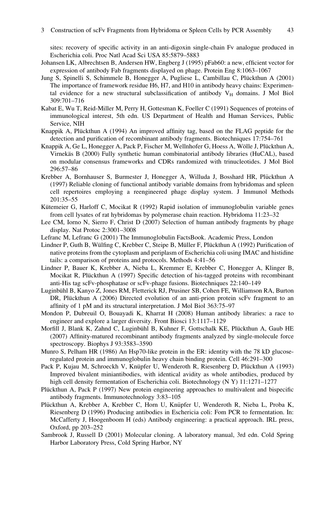<span id="page-22-0"></span>sites: recovery of specific activity in an anti-digoxin single-chain Fv analogue produced in Escherichia coli. Proc Natl Acad Sci USA 85:5879–5883

- Johansen LK, Albrechtsen B, Andersen HW, Engberg J (1995) pFab60: a new, efficient vector for expression of antibody Fab fragments displayed on phage. Protein Eng 8:1063–1067
- Jung S, Spinelli S, Schimmele B, Honegger A, Pugliese L, Cambillau C, Plückthun A (2001) The importance of framework residue H6, H7, and H10 in antibody heavy chains: Experimental evidence for a new structural subclassification of antibody  $V_H$  domains. J Mol Biol 309:701–716
- Kabat E, Wu T, Reid-Miller M, Perry H, Gottesman K, Foeller C (1991) Sequences of proteins of immunological interest, 5th edn. US Department of Health and Human Services, Public Service, NIH
- Knappik A, Plückthun A (1994) An improved affinity tag, based on the FLAG peptide for the detection and purification of recombinant antibody fragments. Biotechniques 17:754–761
- Knappik A, Ge L, Honegger A, Pack P, Fischer M, Wellnhofer G, Hoess A, Wölle J, Plückthun A, Virnekäs B (2000) Fully synthetic human combinatorial antibody libraries (HuCAL), based on modular consensus frameworks and CDRs randomized with trinucleotides. J Mol Biol 296:57–86
- Krebber A, Bornhauser S, Burmester J, Honegger A, Willuda J, Bosshard HR, Plückthun A (1997) Reliable cloning of functional antibody variable domains from hybridomas and spleen cell repertoires employing a reengineered phage display system. J Immunol Methods 201:35–55
- Kütemeier G, Harloff C, Mocikat R (1992) Rapid isolation of immunoglobulin variable genes from cell lysates of rat hybridomas by polymerase chain reaction. Hybridoma 11:23–32
- Lee CM, Iorno N, Sierro F, Christ D (2007) Selection of human antibody fragments by phage display. Nat Protoc 2:3001–3008
- Lefranc M, Lefranc G (2001) The Immunoglobulin FactsBook. Academic Press, London
- Lindner P, Guth B, Wülfing C, Krebber C, Steipe B, Müller F, Plückthun A (1992) Purification of native proteins from the cytoplasm and periplasm of Escherichia coli using IMAC and histidine tails: a comparison of proteins and protocols. Methods 4:41–56
- Lindner P, Bauer K, Krebber A, Nieba L, Kremmer E, Krebber C, Honegger A, Klinger B, Mocikat R, Plückthun A (1997) Specific detection of his-tagged proteins with recombinant anti-His tag scFv-phosphatase or scFv-phage fusions. Biotechniques 22:140–149
- Luginbühl B, Kanyo Z, Jones RM, Fletterick RJ, Prusiner SB, Cohen FE, Williamson RA, Burton DR, Plückthun A (2006) Directed evolution of an anti-prion protein scFv fragment to an affinity of 1 pM and its structural interpretation. J Mol Biol 363:75–97
- Mondon P, Dubreuil O, Bouayadi K, Kharrat H (2008) Human antibody libraries: a race to engineer and explore a larger diversity. Front Biosci 13:1117–1129
- Morfill J, Blank K, Zahnd C, Luginbühl B, Kuhner F, Gottschalk KE, Plückthun A, Gaub HE (2007) Affinity-matured recombinant antibody fragments analyzed by single-molecule force spectroscopy. Biophys J 93:3583–3590
- Munro S, Pelham HR (1986) An Hsp70-like protein in the ER: identity with the 78 kD glucoseregulated protein and immunoglobulin heavy chain binding protein. Cell 46:291–300
- Pack P, Kujau M, Schroeckh V, Knüpfer U, Wenderoth R, Riesenberg D, Plückthun A (1993) Improved bivalent miniantibodies, with identical avidity as whole antibodies, produced by high cell density fermentation of Escherichia coli. Biotechnology (N Y) 11:1271–1277
- Plückthun A, Pack P (1997) New protein engineering approaches to multivalent and bispecific antibody fragments. Immunotechnology 3:83–105
- Plückthun A, Krebber A, Krebber C, Horn U, Knüpfer U, Wenderoth R, Nieba L, Proba K, Riesenberg D (1996) Producing antibodies in Eschericia coli: Fom PCR to fermentation. In: McCafferty J, Hoogenboom H (eds) Antibody engineering: a practical approach. IRL press, Oxford, pp 203–252
- Sambrook J, Russell D (2001) Molecular cloning. A laboratory manual, 3rd edn. Cold Spring Harbor Laboratory Press, Cold Spring Harbor, NY